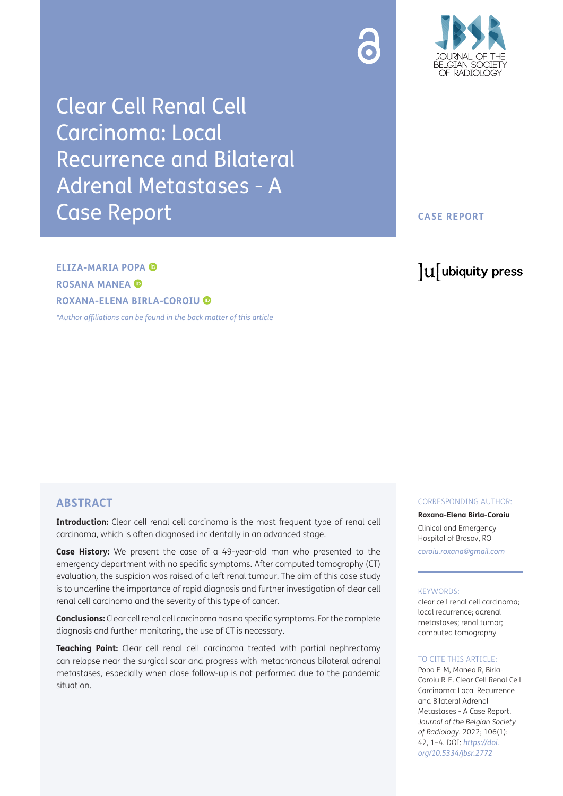

Clear Cell Renal Cell Carcinoma: Local Recurrence and Bilateral Adrenal Metastases - A Case Report

## **CASE REPORT**

# **ELIZA-MARIA POPA ROSANA MANEA ROXANA-ELENA BIRLA-COROIU**

*[\\*Author affiliations can be found in the back matter of this article](#page-2-0)*

# lu ubiquity press

# **ABSTRACT**

**Introduction:** Clear cell renal cell carcinoma is the most frequent type of renal cell carcinoma, which is often diagnosed incidentally in an advanced stage.

**Case History:** We present the case of a 49-year-old man who presented to the emergency department with no specific symptoms. After computed tomography (CT) evaluation*,* the suspicion was raised of a left renal tumour. The aim of this case study is to underline the importance of rapid diagnosis and further investigation of clear cell renal cell carcinoma and the severity of this type of cancer.

**Conclusions:** Clear cell renal cell carcinoma has no specific symptoms. For the complete diagnosis and further monitoring, the use of CT is necessary.

**Teaching Point:** Clear cell renal cell carcinoma treated with partial nephrectomy can relapse near the surgical scar and progress with metachronous bilateral adrenal metastases, especially when close follow-up is not performed due to the pandemic situation.

### CORRESPONDING AUTHOR:

**Roxana-Elena Birla-Coroiu** Clinical and Emergency Hospital of Brasov, RO *[coroiu.roxana@gmail.com](mailto:coroiu.roxana@gmail.com)*

### KEYWORDS:

clear cell renal cell carcinoma; local recurrence; adrenal metastases; renal tumor; computed tomography

### TO CITE THIS ARTICLE:

Popa E-M, Manea R, Birla-Coroiu R-E. Clear Cell Renal Cell Carcinoma: Local Recurrence and Bilateral Adrenal Metastases - A Case Report. *Journal of the Belgian Society of Radiology.* 2022; 106(1): 42, 1–4. DOI: *[https://doi.](https://doi.org/10.5334/jbsr.2772) [org/10.5334/jbsr.2772](https://doi.org/10.5334/jbsr.2772)*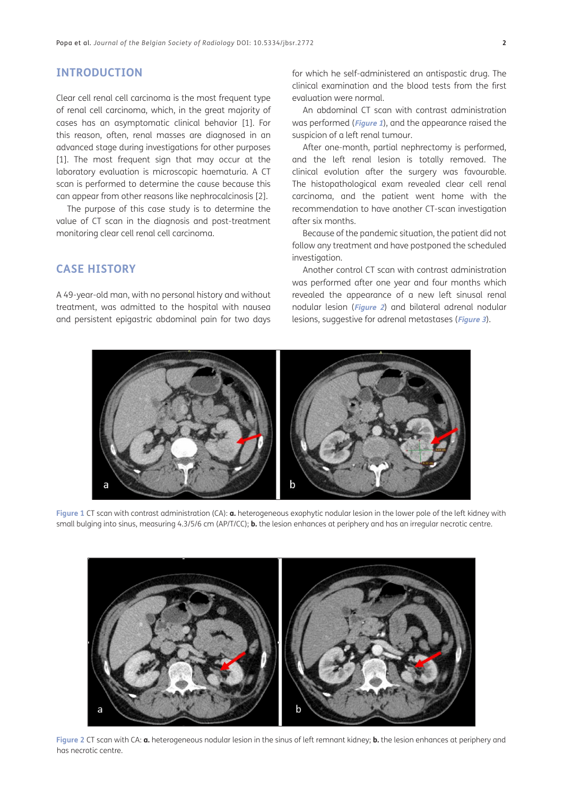# **INTRODUCTION**

Clear cell renal cell carcinoma is the most frequent type of renal cell carcinoma, which, in the great majority of cases has an asymptomatic clinical behavior [[1](#page-2-1)]. For this reason, often, renal masses are diagnosed in an advanced stage during investigations for other purposes [\[1\]](#page-2-1). The most frequent sign that may occur at the laboratory evaluation is microscopic haematuria. A CT scan is performed to determine the cause because this can appear from other reasons like nephrocalcinosis [\[2](#page-2-2)].

The purpose of this case study is to determine the value of CT scan in the diagnosis and post-treatment monitoring clear cell renal cell carcinoma.

# **CASE HISTORY**

A 49-year-old man, with no personal history and without treatment, was admitted to the hospital with nausea and persistent epigastric abdominal pain for two days for which he self-administered an antispastic drug. The clinical examination and the blood tests from the first evaluation were normal.

An abdominal CT scan with contrast administration was performed (**[Figure 1](#page-1-0)**), and the appearance raised the suspicion of a left renal tumour.

After one-month, partial nephrectomy is performed, and the left renal lesion is totally removed. The clinical evolution after the surgery was favourable. The histopathological exam revealed clear cell renal carcinoma, and the patient went home with the recommendation to have another CT-scan investigation after six months.

Because of the pandemic situation, the patient did not follow any treatment and have postponed the scheduled investigation.

Another control CT scan with contrast administration was performed after one year and four months which revealed the appearance of a new left sinusal renal nodular lesion (**[Figure 2](#page-1-1)**) and bilateral adrenal nodular lesions, suggestive for adrenal metastases (**[Figure 3](#page-2-3)**).



<span id="page-1-0"></span>**Figure 1** CT scan with contrast administration (CA): **a.** heterogeneous exophytic nodular lesion in the lower pole of the left kidney with small bulging into sinus, measuring 4.3/5/6 cm (AP/T/CC); **b.** the lesion enhances at periphery and has an irregular necrotic centre.



<span id="page-1-1"></span>**Figure 2** CT scan with CA: **a.** heterogeneous nodular lesion in the sinus of left remnant kidney; **b.** the lesion enhances at periphery and has necrotic centre.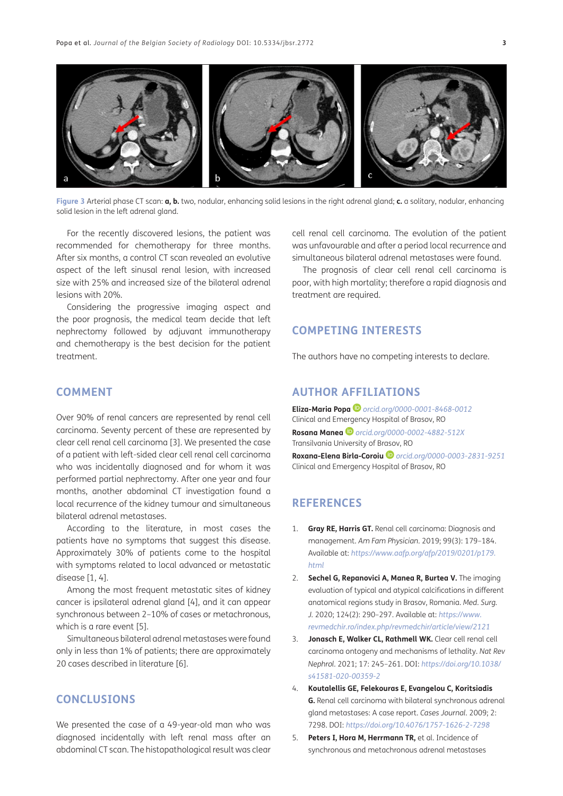

**Figure 3** Arterial phase CT scan: **a, b.** two, nodular, enhancing solid lesions in the right adrenal gland; **c.** a solitary, nodular, enhancing solid lesion in the left adrenal gland.

<span id="page-2-3"></span>For the recently discovered lesions, the patient was recommended for chemotherapy for three months. After six months, a control CT scan revealed an evolutive aspect of the left sinusal renal lesion, with increased size with 25% and increased size of the bilateral adrenal lesions with 20%.

Considering the progressive imaging aspect and the poor prognosis, the medical team decide that left nephrectomy followed by adjuvant immunotherapy and chemotherapy is the best decision for the patient treatment.

### **COMMENT**

Over 90% of renal cancers are represented by renal cell carcinoma. Seventy percent of these are represented by clear cell renal cell carcinoma [[3\]](#page-2-4). We presented the case of a patient with left-sided clear cell renal cell carcinoma who was incidentally diagnosed and for whom it was performed partial nephrectomy. After one year and four months, another abdominal CT investigation found a local recurrence of the kidney tumour and simultaneous bilateral adrenal metastases.

According to the literature, in most cases the patients have no symptoms that suggest this disease. Approximately 30% of patients come to the hospital with symptoms related to local advanced or metastatic disease [[1](#page-2-1), 4].

Among the most frequent metastatic sites of kidney cancer is ipsilateral adrenal gland [4], and it can appear synchronous between 2–10% of cases or metachronous, which is a rare event [5].

Simultaneous bilateral adrenal metastases were found only in less than 1% of patients; there are approximately 20 cases described in literature [6].

# **CONCLUSIONS**

We presented the case of a 49-year-old man who was diagnosed incidentally with left renal mass after an abdominal CT scan. The histopathological result was clear cell renal cell carcinoma. The evolution of the patient was unfavourable and after a period local recurrence and simultaneous bilateral adrenal metastases were found.

The prognosis of clear cell renal cell carcinoma is poor, with high mortality; therefore a rapid diagnosis and treatment are required.

# **COMPETING INTERESTS**

The authors have no competing interests to declare.

# <span id="page-2-0"></span>**AUTHOR AFFILIATIONS**

**Eliza-Maria Popa** *[orcid.org/0000-0001-8468-0012](https://orcid.org/0000-0001-8468-0012)* Clinical and Emergency Hospital of Brasov, RO **Rosana Manea D** [orcid.org/0000-0002-4882-512X](https://orcid.org/0000-0002-4882-512X) Transilvania University of Brasov, RO **Roxana-Elena Birla-Coroiu** *[orcid.org/0000-0003-2831-9251](https://orcid.org/0000-0003-2831-9251)* Clinical and Emergency Hospital of Brasov, RO

# **REFERENCES**

- <span id="page-2-1"></span>1. **Gray RE, Harris GT.** Renal cell carcinoma: Diagnosis and management. *Am Fam Physician.* 2019; 99(3): 179–184. Available at: *[https://www.aafp.org/afp/2019/0201/p179.](https://www.aafp.org/afp/2019/0201/p179.html) [html](https://www.aafp.org/afp/2019/0201/p179.html)*
- <span id="page-2-2"></span>2. **Sechel G, Repanovici A, Manea R, Burtea V.** The imaging evaluation of typical and atypical calcifications in different anatomical regions study in Brasov, Romania. *Med. Surg. J.* 2020; 124(2): 290–297. Available at: *[https://www.](https://www.revmedchir.ro/index.php/revmedchir/article/view/2121) [revmedchir.ro/index.php/revmedchir/article/view/2121](https://www.revmedchir.ro/index.php/revmedchir/article/view/2121)*
- <span id="page-2-4"></span>3. **Jonasch E, Walker CL, Rathmell WK.** Clear cell renal cell carcinoma ontogeny and mechanisms of lethality. *Nat Rev Nephrol.* 2021; 17: 245–261. DOI: *[https://doi.org/10.1038/](https://doi.org/10.1038/s41581-020-00359-2) [s41581-020-00359-2](https://doi.org/10.1038/s41581-020-00359-2)*
- 4. **Koutalellis GE, Felekouras E, Evangelou C, Koritsiadis G.** Renal cell carcinoma with bilateral synchronous adrenal gland metastases: A case report. *Cases Journal*. 2009; 2: 7298. DOI: *<https://doi.org/10.4076/1757-1626-2-7298>*
- 5. **Peters I, Hora M, Herrmann TR,** et al. Incidence of synchronous and metachronous adrenal metastases